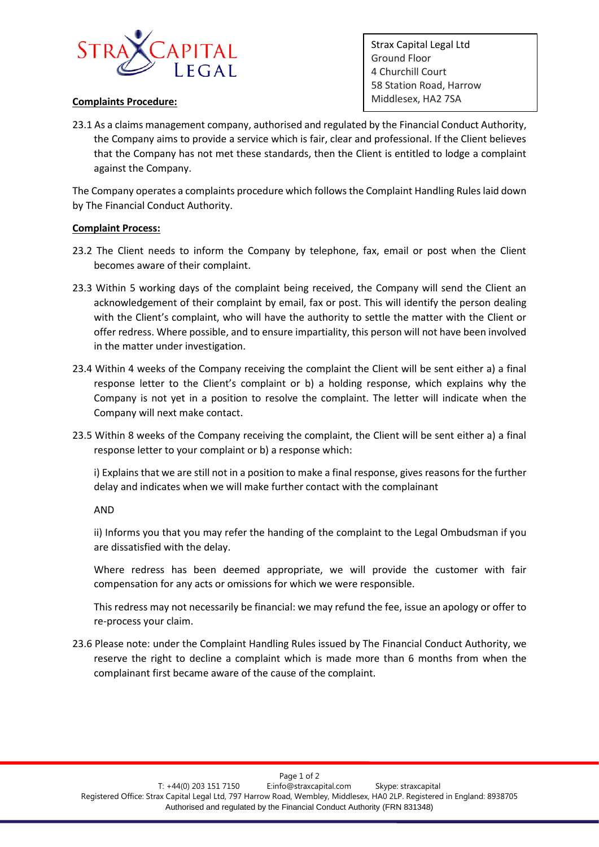

## **Complaints Procedure:** Middlesex, HA2 7SA

Strax Capital Legal Ltd Ground Floor 4 Churchill Court 58 Station Road, Harrow

23.1 As a claims management company, authorised and regulated by the Financial Conduct Authority, the Company aims to provide a service which is fair, clear and professional. If the Client believes that the Company has not met these standards, then the Client is entitled to lodge a complaint against the Company.

The Company operates a complaints procedure which follows the Complaint Handling Rules laid down by The Financial Conduct Authority.

## **Complaint Process:**

- 23.2 The Client needs to inform the Company by telephone, fax, email or post when the Client becomes aware of their complaint.
- 23.3 Within 5 working days of the complaint being received, the Company will send the Client an acknowledgement of their complaint by email, fax or post. This will identify the person dealing with the Client's complaint, who will have the authority to settle the matter with the Client or offer redress. Where possible, and to ensure impartiality, this person will not have been involved in the matter under investigation.
- 23.4 Within 4 weeks of the Company receiving the complaint the Client will be sent either a) a final response letter to the Client's complaint or b) a holding response, which explains why the Company is not yet in a position to resolve the complaint. The letter will indicate when the Company will next make contact.
- 23.5 Within 8 weeks of the Company receiving the complaint, the Client will be sent either a) a final response letter to your complaint or b) a response which:

i) Explains that we are still not in a position to make a final response, gives reasons for the further delay and indicates when we will make further contact with the complainant

AND

ii) Informs you that you may refer the handing of the complaint to the Legal Ombudsman if you are dissatisfied with the delay.

Where redress has been deemed appropriate, we will provide the customer with fair compensation for any acts or omissions for which we were responsible.

This redress may not necessarily be financial: we may refund the fee, issue an apology or offer to re-process your claim.

23.6 Please note: under the Complaint Handling Rules issued by The Financial Conduct Authority, we reserve the right to decline a complaint which is made more than 6 months from when the complainant first became aware of the cause of the complaint.